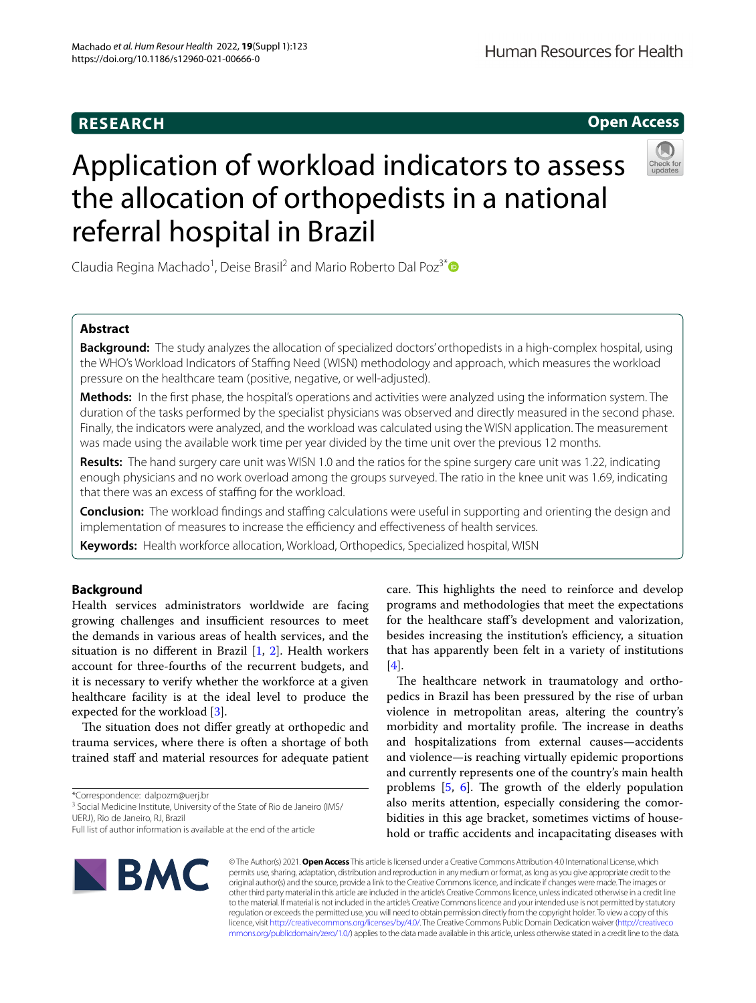# **RESEARCH**

Human Resources for Health



# Application of workload indicators to assess the allocation of orthopedists in a national referral hospital in Brazil



Claudia Regina Machado<sup>1</sup>, Deise Brasil<sup>2</sup> and Mario Roberto Dal Poz<sup>3[\\*](http://orcid.org/0000-0002-3005-3280)</sup>

# **Abstract**

**Background:** The study analyzes the allocation of specialized doctors' orthopedists in a high-complex hospital, using the WHO's Workload Indicators of Staffing Need (WISN) methodology and approach, which measures the workload pressure on the healthcare team (positive, negative, or well-adjusted).

**Methods:** In the frst phase, the hospital's operations and activities were analyzed using the information system. The duration of the tasks performed by the specialist physicians was observed and directly measured in the second phase. Finally, the indicators were analyzed, and the workload was calculated using the WISN application. The measurement was made using the available work time per year divided by the time unit over the previous 12 months.

**Results:** The hand surgery care unit was WISN 1.0 and the ratios for the spine surgery care unit was 1.22, indicating enough physicians and no work overload among the groups surveyed. The ratio in the knee unit was 1.69, indicating that there was an excess of staffing for the workload.

**Conclusion:** The workload findings and staffing calculations were useful in supporting and orienting the design and implementation of measures to increase the efficiency and effectiveness of health services.

**Keywords:** Health workforce allocation, Workload, Orthopedics, Specialized hospital, WISN

# **Background**

Health services administrators worldwide are facing growing challenges and insufficient resources to meet the demands in various areas of health services, and the situation is no diferent in Brazil [[1,](#page-6-0) [2](#page-6-1)]. Health workers account for three-fourths of the recurrent budgets, and it is necessary to verify whether the workforce at a given healthcare facility is at the ideal level to produce the expected for the workload [[3\]](#page-6-2).

The situation does not differ greatly at orthopedic and trauma services, where there is often a shortage of both trained staff and material resources for adequate patient

\*Correspondence: dalpozm@uerj.br

<sup>3</sup> Social Medicine Institute, University of the State of Rio de Janeiro (IMS/ UERJ), Rio de Janeiro, RJ, Brazil

care. This highlights the need to reinforce and develop programs and methodologies that meet the expectations for the healthcare staf's development and valorization, besides increasing the institution's efficiency, a situation that has apparently been felt in a variety of institutions [[4\]](#page-6-3).

The healthcare network in traumatology and orthopedics in Brazil has been pressured by the rise of urban violence in metropolitan areas, altering the country's morbidity and mortality profile. The increase in deaths and hospitalizations from external causes—accidents and violence—is reaching virtually epidemic proportions and currently represents one of the country's main health problems  $[5, 6]$  $[5, 6]$  $[5, 6]$  $[5, 6]$ . The growth of the elderly population also merits attention, especially considering the comorbidities in this age bracket, sometimes victims of household or traffic accidents and incapacitating diseases with



© The Author(s) 2021. **Open Access** This article is licensed under a Creative Commons Attribution 4.0 International License, which permits use, sharing, adaptation, distribution and reproduction in any medium or format, as long as you give appropriate credit to the original author(s) and the source, provide a link to the Creative Commons licence, and indicate if changes were made. The images or other third party material in this article are included in the article's Creative Commons licence, unless indicated otherwise in a credit line to the material. If material is not included in the article's Creative Commons licence and your intended use is not permitted by statutory regulation or exceeds the permitted use, you will need to obtain permission directly from the copyright holder. To view a copy of this licence, visit [http://creativecommons.org/licenses/by/4.0/.](http://creativecommons.org/licenses/by/4.0/) The Creative Commons Public Domain Dedication waiver ([http://creativeco](http://creativecommons.org/publicdomain/zero/1.0/) [mmons.org/publicdomain/zero/1.0/](http://creativecommons.org/publicdomain/zero/1.0/)) applies to the data made available in this article, unless otherwise stated in a credit line to the data.

Full list of author information is available at the end of the article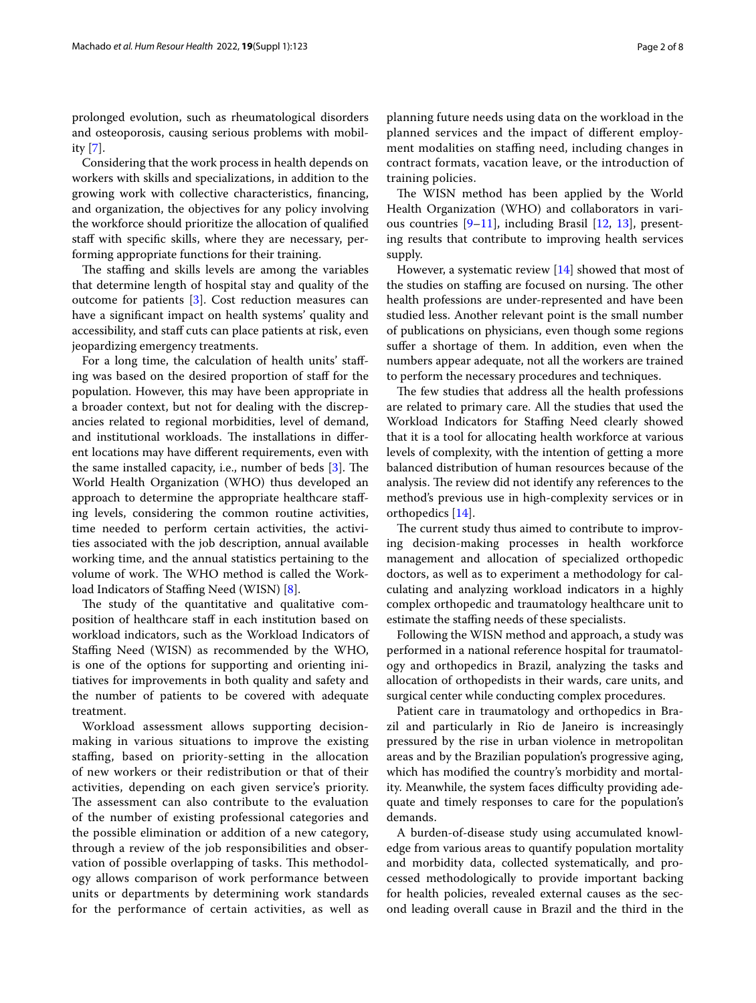prolonged evolution, such as rheumatological disorders and osteoporosis, causing serious problems with mobility [[7](#page-6-6)].

Considering that the work process in health depends on workers with skills and specializations, in addition to the growing work with collective characteristics, fnancing, and organization, the objectives for any policy involving the workforce should prioritize the allocation of qualifed staff with specific skills, where they are necessary, performing appropriate functions for their training.

The staffing and skills levels are among the variables that determine length of hospital stay and quality of the outcome for patients [\[3](#page-6-2)]. Cost reduction measures can have a signifcant impact on health systems' quality and accessibility, and staff cuts can place patients at risk, even jeopardizing emergency treatments.

For a long time, the calculation of health units' stafing was based on the desired proportion of staf for the population. However, this may have been appropriate in a broader context, but not for dealing with the discrepancies related to regional morbidities, level of demand, and institutional workloads. The installations in different locations may have diferent requirements, even with the same installed capacity, i.e., number of beds  $[3]$  $[3]$ . The World Health Organization (WHO) thus developed an approach to determine the appropriate healthcare stafing levels, considering the common routine activities, time needed to perform certain activities, the activities associated with the job description, annual available working time, and the annual statistics pertaining to the volume of work. The WHO method is called the Work-load Indicators of Staffing Need (WISN) [[8](#page-6-7)].

The study of the quantitative and qualitative composition of healthcare staf in each institution based on workload indicators, such as the Workload Indicators of Staffing Need (WISN) as recommended by the WHO, is one of the options for supporting and orienting initiatives for improvements in both quality and safety and the number of patients to be covered with adequate treatment.

Workload assessment allows supporting decisionmaking in various situations to improve the existing stafng, based on priority-setting in the allocation of new workers or their redistribution or that of their activities, depending on each given service's priority. The assessment can also contribute to the evaluation of the number of existing professional categories and the possible elimination or addition of a new category, through a review of the job responsibilities and observation of possible overlapping of tasks. This methodology allows comparison of work performance between units or departments by determining work standards for the performance of certain activities, as well as planning future needs using data on the workload in the planned services and the impact of diferent employment modalities on staffing need, including changes in contract formats, vacation leave, or the introduction of training policies.

The WISN method has been applied by the World Health Organization (WHO) and collaborators in various countries [[9–](#page-6-8)[11\]](#page-6-9), including Brasil [\[12,](#page-7-0) [13\]](#page-7-1), presenting results that contribute to improving health services supply.

However, a systematic review [\[14](#page-7-2)] showed that most of the studies on staffing are focused on nursing. The other health professions are under-represented and have been studied less. Another relevant point is the small number of publications on physicians, even though some regions suffer a shortage of them. In addition, even when the numbers appear adequate, not all the workers are trained to perform the necessary procedures and techniques.

The few studies that address all the health professions are related to primary care. All the studies that used the Workload Indicators for Staffing Need clearly showed that it is a tool for allocating health workforce at various levels of complexity, with the intention of getting a more balanced distribution of human resources because of the analysis. The review did not identify any references to the method's previous use in high-complexity services or in orthopedics [\[14](#page-7-2)].

The current study thus aimed to contribute to improving decision-making processes in health workforce management and allocation of specialized orthopedic doctors, as well as to experiment a methodology for calculating and analyzing workload indicators in a highly complex orthopedic and traumatology healthcare unit to estimate the staffing needs of these specialists.

Following the WISN method and approach, a study was performed in a national reference hospital for traumatology and orthopedics in Brazil, analyzing the tasks and allocation of orthopedists in their wards, care units, and surgical center while conducting complex procedures.

Patient care in traumatology and orthopedics in Brazil and particularly in Rio de Janeiro is increasingly pressured by the rise in urban violence in metropolitan areas and by the Brazilian population's progressive aging, which has modifed the country's morbidity and mortality. Meanwhile, the system faces difficulty providing adequate and timely responses to care for the population's demands.

A burden-of-disease study using accumulated knowledge from various areas to quantify population mortality and morbidity data, collected systematically, and processed methodologically to provide important backing for health policies, revealed external causes as the second leading overall cause in Brazil and the third in the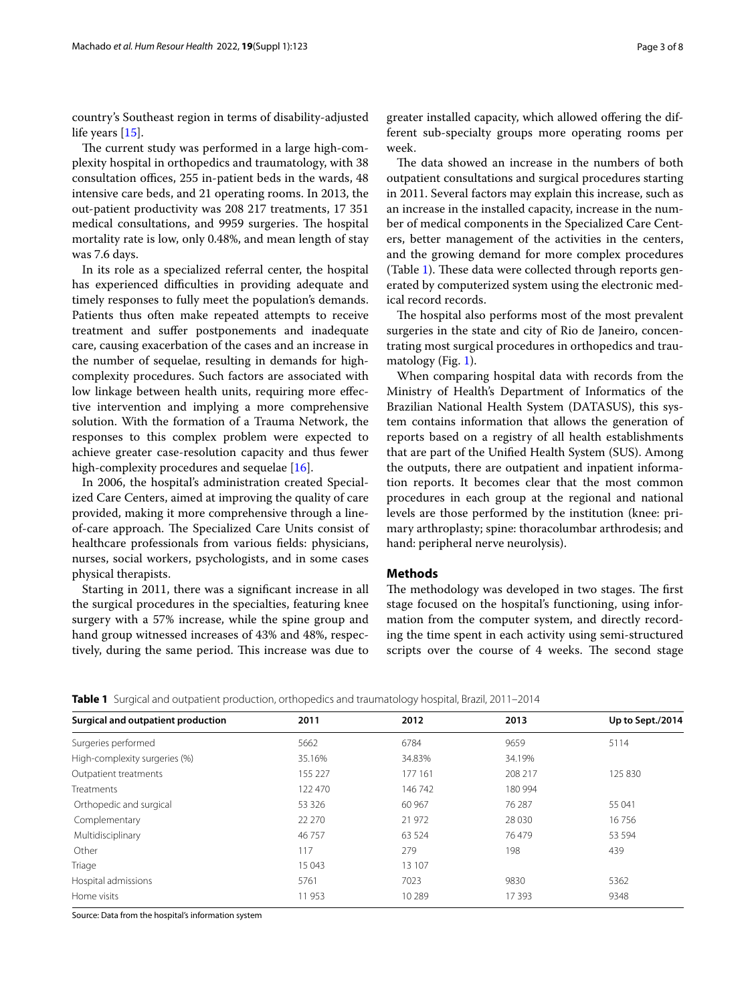country's Southeast region in terms of disability-adjusted life years [\[15\]](#page-7-3).

The current study was performed in a large high-complexity hospital in orthopedics and traumatology, with 38 consultation offices, 255 in-patient beds in the wards, 48 intensive care beds, and 21 operating rooms. In 2013, the out-patient productivity was 208 217 treatments, 17 351 medical consultations, and 9959 surgeries. The hospital mortality rate is low, only 0.48%, and mean length of stay was 7.6 days.

In its role as a specialized referral center, the hospital has experienced difficulties in providing adequate and timely responses to fully meet the population's demands. Patients thus often make repeated attempts to receive treatment and sufer postponements and inadequate care, causing exacerbation of the cases and an increase in the number of sequelae, resulting in demands for highcomplexity procedures. Such factors are associated with low linkage between health units, requiring more efective intervention and implying a more comprehensive solution. With the formation of a Trauma Network, the responses to this complex problem were expected to achieve greater case-resolution capacity and thus fewer high-complexity procedures and sequelae [[16\]](#page-7-4).

In 2006, the hospital's administration created Specialized Care Centers, aimed at improving the quality of care provided, making it more comprehensive through a lineof-care approach. The Specialized Care Units consist of healthcare professionals from various felds: physicians, nurses, social workers, psychologists, and in some cases physical therapists.

Starting in 2011, there was a signifcant increase in all the surgical procedures in the specialties, featuring knee surgery with a 57% increase, while the spine group and hand group witnessed increases of 43% and 48%, respectively, during the same period. This increase was due to greater installed capacity, which allowed ofering the different sub-specialty groups more operating rooms per week.

The data showed an increase in the numbers of both outpatient consultations and surgical procedures starting in 2011. Several factors may explain this increase, such as an increase in the installed capacity, increase in the number of medical components in the Specialized Care Centers, better management of the activities in the centers, and the growing demand for more complex procedures (Table [1\)](#page-2-0). These data were collected through reports generated by computerized system using the electronic medical record records.

The hospital also performs most of the most prevalent surgeries in the state and city of Rio de Janeiro, concentrating most surgical procedures in orthopedics and trau-matology (Fig. [1](#page-3-0)).

When comparing hospital data with records from the Ministry of Health's Department of Informatics of the Brazilian National Health System (DATASUS), this system contains information that allows the generation of reports based on a registry of all health establishments that are part of the Unifed Health System (SUS). Among the outputs, there are outpatient and inpatient information reports. It becomes clear that the most common procedures in each group at the regional and national levels are those performed by the institution (knee: primary arthroplasty; spine: thoracolumbar arthrodesis; and hand: peripheral nerve neurolysis).

## **Methods**

The methodology was developed in two stages. The first stage focused on the hospital's functioning, using information from the computer system, and directly recording the time spent in each activity using semi-structured scripts over the course of 4 weeks. The second stage

<span id="page-2-0"></span>

|  |  | Table 1 Surgical and outpatient production, orthopedics and traumatology hospital, Brazil, 2011–2014 |
|--|--|------------------------------------------------------------------------------------------------------|
|  |  |                                                                                                      |

| Surgical and outpatient production | 2011     | 2012     | 2013    | Up to Sept./2014 |
|------------------------------------|----------|----------|---------|------------------|
| Surgeries performed                | 5662     | 6784     | 9659    | 5114             |
| High-complexity surgeries (%)      | 35.16%   | 34.83%   | 34.19%  |                  |
| Outpatient treatments              | 155 227  | 177 161  | 208 217 | 125 830          |
| Treatments                         | 122 470  | 146742   | 180 994 |                  |
| Orthopedic and surgical            | 53 3 2 6 | 60 967   | 76 287  | 55 041           |
| Complementary                      | 22 270   | 21 972   | 28 0 30 | 16756            |
| Multidisciplinary                  | 46757    | 63 5 24  | 76479   | 53 5 94          |
| Other                              | 117      | 279      | 198     | 439              |
| Triage                             | 15 043   | 13 107   |         |                  |
| Hospital admissions                | 5761     | 7023     | 9830    | 5362             |
| Home visits                        | 11953    | 10 2 8 9 | 17393   | 9348             |
|                                    |          |          |         |                  |

Source: Data from the hospital's information system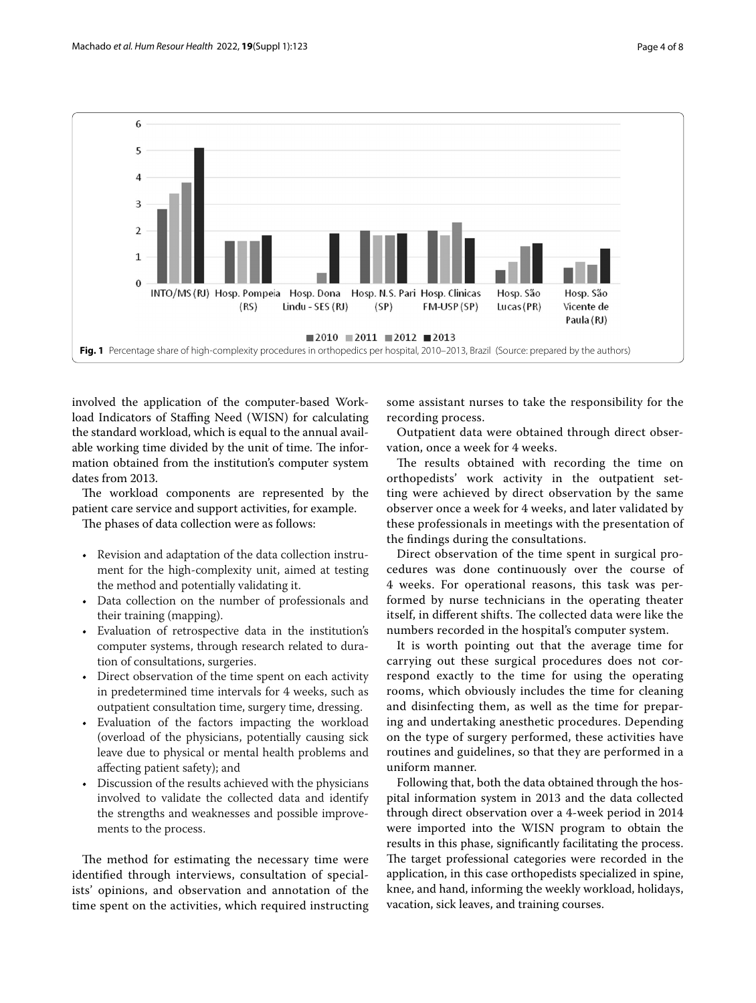

<span id="page-3-0"></span>involved the application of the computer-based Workload Indicators of Staffing Need (WISN) for calculating the standard workload, which is equal to the annual available working time divided by the unit of time. The information obtained from the institution's computer system dates from 2013.

The workload components are represented by the patient care service and support activities, for example.

The phases of data collection were as follows:

- Revision and adaptation of the data collection instrument for the high-complexity unit, aimed at testing the method and potentially validating it.
- Data collection on the number of professionals and their training (mapping).
- Evaluation of retrospective data in the institution's computer systems, through research related to duration of consultations, surgeries.
- Direct observation of the time spent on each activity in predetermined time intervals for 4 weeks, such as outpatient consultation time, surgery time, dressing.
- Evaluation of the factors impacting the workload (overload of the physicians, potentially causing sick leave due to physical or mental health problems and afecting patient safety); and
- Discussion of the results achieved with the physicians involved to validate the collected data and identify the strengths and weaknesses and possible improvements to the process.

The method for estimating the necessary time were identifed through interviews, consultation of specialists' opinions, and observation and annotation of the time spent on the activities, which required instructing some assistant nurses to take the responsibility for the recording process.

Outpatient data were obtained through direct observation, once a week for 4 weeks.

The results obtained with recording the time on orthopedists' work activity in the outpatient setting were achieved by direct observation by the same observer once a week for 4 weeks, and later validated by these professionals in meetings with the presentation of the fndings during the consultations.

Direct observation of the time spent in surgical procedures was done continuously over the course of 4 weeks. For operational reasons, this task was performed by nurse technicians in the operating theater itself, in different shifts. The collected data were like the numbers recorded in the hospital's computer system.

It is worth pointing out that the average time for carrying out these surgical procedures does not correspond exactly to the time for using the operating rooms, which obviously includes the time for cleaning and disinfecting them, as well as the time for preparing and undertaking anesthetic procedures. Depending on the type of surgery performed, these activities have routines and guidelines, so that they are performed in a uniform manner.

Following that, both the data obtained through the hospital information system in 2013 and the data collected through direct observation over a 4-week period in 2014 were imported into the WISN program to obtain the results in this phase, signifcantly facilitating the process. The target professional categories were recorded in the application, in this case orthopedists specialized in spine, knee, and hand, informing the weekly workload, holidays, vacation, sick leaves, and training courses.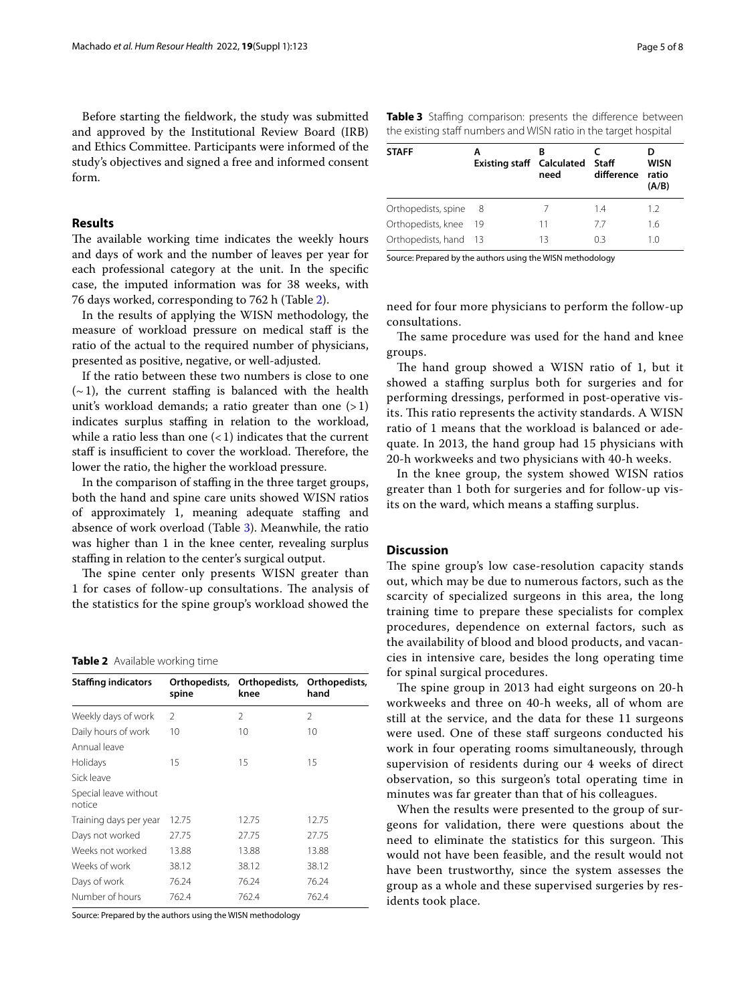Before starting the feldwork, the study was submitted and approved by the Institutional Review Board (IRB) and Ethics Committee. Participants were informed of the study's objectives and signed a free and informed consent form.

# **Results**

The available working time indicates the weekly hours and days of work and the number of leaves per year for each professional category at the unit. In the specifc case, the imputed information was for 38 weeks, with 76 days worked, corresponding to 762 h (Table [2](#page-4-0)).

In the results of applying the WISN methodology, the measure of workload pressure on medical staf is the ratio of the actual to the required number of physicians, presented as positive, negative, or well-adjusted.

If the ratio between these two numbers is close to one  $(-1)$ , the current staffing is balanced with the health unit's workload demands; a ratio greater than one  $(>1)$ indicates surplus staffing in relation to the workload, while a ratio less than one  $(< 1)$  indicates that the current staff is insufficient to cover the workload. Therefore, the lower the ratio, the higher the workload pressure.

In the comparison of staffing in the three target groups, both the hand and spine care units showed WISN ratios of approximately 1, meaning adequate staffing and absence of work overload (Table [3](#page-4-1)). Meanwhile, the ratio was higher than 1 in the knee center, revealing surplus stafng in relation to the center's surgical output.

The spine center only presents WISN greater than 1 for cases of follow-up consultations. The analysis of the statistics for the spine group's workload showed the

#### <span id="page-4-0"></span>**Table 2** Available working time

| <b>Staffing indicators</b>      | Orthopedists,<br>spine | Orthopedists,<br>knee | Orthopedists,<br>hand |
|---------------------------------|------------------------|-----------------------|-----------------------|
| Weekly days of work             | $\mathcal{L}$          | 2                     | 2                     |
| Daily hours of work             | 10                     | 10                    | 10                    |
| Annual leave                    |                        |                       |                       |
| Holidays                        | 15                     | 15                    | 15                    |
| Sick leave                      |                        |                       |                       |
| Special leave without<br>notice |                        |                       |                       |
| Training days per year          | 12.75                  | 12.75                 | 12.75                 |
| Days not worked                 | 27.75                  | 27.75                 | 27.75                 |
| Weeks not worked                | 13.88                  | 13.88                 | 13.88                 |
| Weeks of work                   | 38.12                  | 38.12                 | 38.12                 |
| Days of work                    | 76.24                  | 76.24                 | 76.24                 |
| Number of hours                 | 762.4                  | 762.4                 | 762.4                 |

Source: Prepared by the authors using the WISN methodology

<span id="page-4-1"></span>

|                                                                  |  | Table 3 Staffing comparison: presents the difference between |  |  |  |  |  |
|------------------------------------------------------------------|--|--------------------------------------------------------------|--|--|--|--|--|
| the existing staff numbers and WISN ratio in the target hospital |  |                                                              |  |  |  |  |  |

| <b>STAFF</b>          | <b>Existing staff</b> Calculated | need | Staff<br>difference | <b>WISN</b><br>ratio<br>(A/B) |
|-----------------------|----------------------------------|------|---------------------|-------------------------------|
| Orthopedists, spine   | -8                               |      | 14                  | 1.2                           |
| Orthopedists, knee    | -19                              | 11   | 77                  | 1.6                           |
| Orthopedists, hand 13 |                                  | 13   | 03                  | 1.0                           |

Source: Prepared by the authors using the WISN methodology

need for four more physicians to perform the follow-up consultations.

The same procedure was used for the hand and knee groups.

The hand group showed a WISN ratio of 1, but it showed a staffing surplus both for surgeries and for performing dressings, performed in post-operative visits. This ratio represents the activity standards. A WISN ratio of 1 means that the workload is balanced or adequate. In 2013, the hand group had 15 physicians with 20-h workweeks and two physicians with 40-h weeks.

In the knee group, the system showed WISN ratios greater than 1 both for surgeries and for follow-up visits on the ward, which means a staffing surplus.

### **Discussion**

The spine group's low case-resolution capacity stands out, which may be due to numerous factors, such as the scarcity of specialized surgeons in this area, the long training time to prepare these specialists for complex procedures, dependence on external factors, such as the availability of blood and blood products, and vacancies in intensive care, besides the long operating time for spinal surgical procedures.

The spine group in 2013 had eight surgeons on 20-h workweeks and three on 40-h weeks, all of whom are still at the service, and the data for these 11 surgeons were used. One of these staff surgeons conducted his work in four operating rooms simultaneously, through supervision of residents during our 4 weeks of direct observation, so this surgeon's total operating time in minutes was far greater than that of his colleagues.

When the results were presented to the group of surgeons for validation, there were questions about the need to eliminate the statistics for this surgeon. This would not have been feasible, and the result would not have been trustworthy, since the system assesses the group as a whole and these supervised surgeries by residents took place.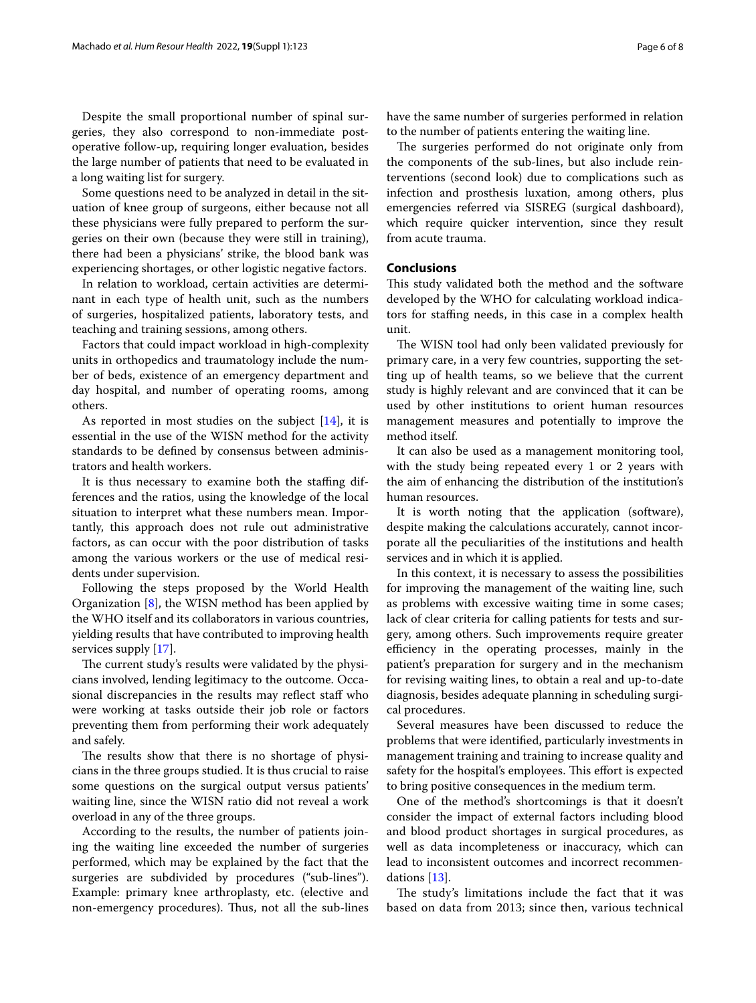Despite the small proportional number of spinal surgeries, they also correspond to non-immediate postoperative follow-up, requiring longer evaluation, besides the large number of patients that need to be evaluated in a long waiting list for surgery.

Some questions need to be analyzed in detail in the situation of knee group of surgeons, either because not all these physicians were fully prepared to perform the surgeries on their own (because they were still in training), there had been a physicians' strike, the blood bank was experiencing shortages, or other logistic negative factors.

In relation to workload, certain activities are determinant in each type of health unit, such as the numbers of surgeries, hospitalized patients, laboratory tests, and teaching and training sessions, among others.

Factors that could impact workload in high-complexity units in orthopedics and traumatology include the number of beds, existence of an emergency department and day hospital, and number of operating rooms, among others.

As reported in most studies on the subject [\[14](#page-7-2)], it is essential in the use of the WISN method for the activity standards to be defned by consensus between administrators and health workers.

It is thus necessary to examine both the staffing differences and the ratios, using the knowledge of the local situation to interpret what these numbers mean. Importantly, this approach does not rule out administrative factors, as can occur with the poor distribution of tasks among the various workers or the use of medical residents under supervision.

Following the steps proposed by the World Health Organization [[8\]](#page-6-7), the WISN method has been applied by the WHO itself and its collaborators in various countries, yielding results that have contributed to improving health services supply [[17](#page-7-5)].

The current study's results were validated by the physicians involved, lending legitimacy to the outcome. Occasional discrepancies in the results may reflect staff who were working at tasks outside their job role or factors preventing them from performing their work adequately and safely.

The results show that there is no shortage of physicians in the three groups studied. It is thus crucial to raise some questions on the surgical output versus patients' waiting line, since the WISN ratio did not reveal a work overload in any of the three groups.

According to the results, the number of patients joining the waiting line exceeded the number of surgeries performed, which may be explained by the fact that the surgeries are subdivided by procedures ("sub-lines"). Example: primary knee arthroplasty, etc. (elective and non-emergency procedures). Thus, not all the sub-lines have the same number of surgeries performed in relation to the number of patients entering the waiting line.

The surgeries performed do not originate only from the components of the sub-lines, but also include reinterventions (second look) due to complications such as infection and prosthesis luxation, among others, plus emergencies referred via SISREG (surgical dashboard), which require quicker intervention, since they result from acute trauma.

# **Conclusions**

This study validated both the method and the software developed by the WHO for calculating workload indicators for stafng needs, in this case in a complex health unit.

The WISN tool had only been validated previously for primary care, in a very few countries, supporting the setting up of health teams, so we believe that the current study is highly relevant and are convinced that it can be used by other institutions to orient human resources management measures and potentially to improve the method itself.

It can also be used as a management monitoring tool, with the study being repeated every 1 or 2 years with the aim of enhancing the distribution of the institution's human resources.

It is worth noting that the application (software), despite making the calculations accurately, cannot incorporate all the peculiarities of the institutions and health services and in which it is applied.

In this context, it is necessary to assess the possibilities for improving the management of the waiting line, such as problems with excessive waiting time in some cases; lack of clear criteria for calling patients for tests and surgery, among others. Such improvements require greater efficiency in the operating processes, mainly in the patient's preparation for surgery and in the mechanism for revising waiting lines, to obtain a real and up-to-date diagnosis, besides adequate planning in scheduling surgical procedures.

Several measures have been discussed to reduce the problems that were identifed, particularly investments in management training and training to increase quality and safety for the hospital's employees. This effort is expected to bring positive consequences in the medium term.

One of the method's shortcomings is that it doesn't consider the impact of external factors including blood and blood product shortages in surgical procedures, as well as data incompleteness or inaccuracy, which can lead to inconsistent outcomes and incorrect recommendations [\[13](#page-7-1)].

The study's limitations include the fact that it was based on data from 2013; since then, various technical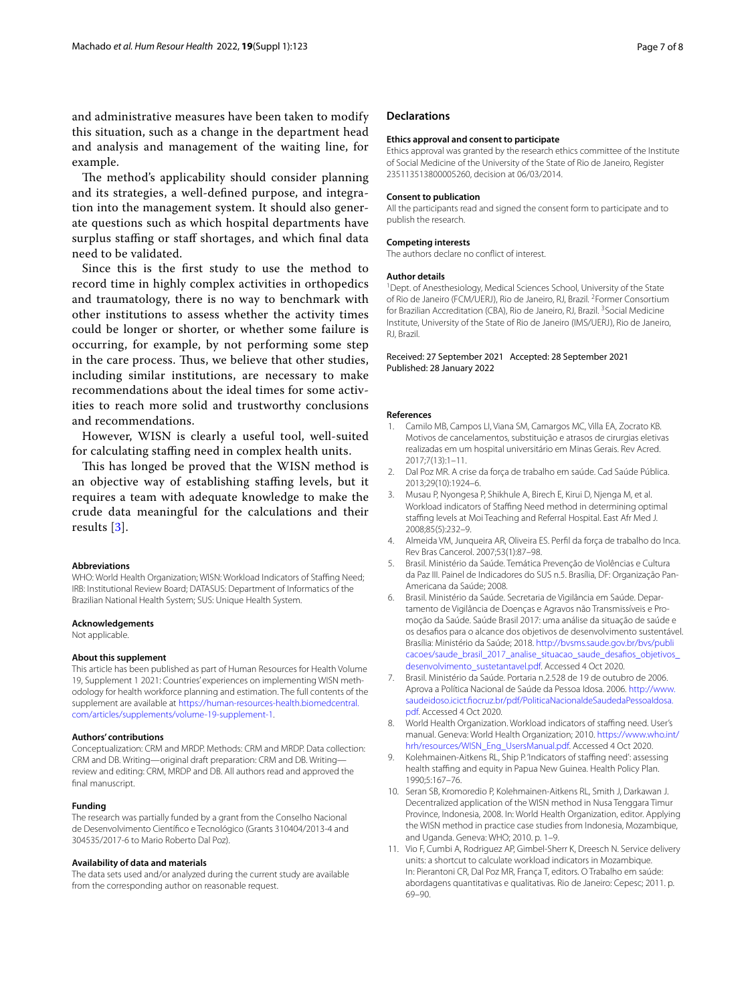and administrative measures have been taken to modify this situation, such as a change in the department head and analysis and management of the waiting line, for example.

The method's applicability should consider planning and its strategies, a well-defned purpose, and integration into the management system. It should also generate questions such as which hospital departments have surplus staffing or staff shortages, and which final data need to be validated.

Since this is the frst study to use the method to record time in highly complex activities in orthopedics and traumatology, there is no way to benchmark with other institutions to assess whether the activity times could be longer or shorter, or whether some failure is occurring, for example, by not performing some step in the care process. Thus, we believe that other studies, including similar institutions, are necessary to make recommendations about the ideal times for some activities to reach more solid and trustworthy conclusions and recommendations.

However, WISN is clearly a useful tool, well-suited for calculating staffing need in complex health units.

This has longed be proved that the WISN method is an objective way of establishing staffing levels, but it requires a team with adequate knowledge to make the crude data meaningful for the calculations and their results [\[3\]](#page-6-2).

#### **Abbreviations**

WHO: World Health Organization; WISN: Workload Indicators of Staffing Need; IRB: Institutional Review Board; DATASUS: Department of Informatics of the Brazilian National Health System; SUS: Unique Health System.

#### **Acknowledgements**

Not applicable.

#### **About this supplement**

This article has been published as part of Human Resources for Health Volume 19, Supplement 1 2021: Countries' experiences on implementing WISN methodology for health workforce planning and estimation. The full contents of the supplement are available at [https://human-resources-health.biomedcentral.](https://human-resources-health.biomedcentral.com/articles/supplements/volume-19-supplement-1) [com/articles/supplements/volume-19-supplement-1](https://human-resources-health.biomedcentral.com/articles/supplements/volume-19-supplement-1).

#### **Authors' contributions**

Conceptualization: CRM and MRDP. Methods: CRM and MRDP. Data collection: CRM and DB. Writing—original draft preparation: CRM and DB. Writing review and editing: CRM, MRDP and DB. All authors read and approved the final manuscript.

#### **Funding**

The research was partially funded by a grant from the Conselho Nacional de Desenvolvimento Científco e Tecnológico (Grants 310404/2013-4 and 304535/2017-6 to Mario Roberto Dal Poz).

#### **Availability of data and materials**

The data sets used and/or analyzed during the current study are available from the corresponding author on reasonable request.

#### **Declarations**

#### **Ethics approval and consent to participate**

Ethics approval was granted by the research ethics committee of the Institute of Social Medicine of the University of the State of Rio de Janeiro, Register 235113513800005260, decision at 06/03/2014.

## **Consent to publication**

All the participants read and signed the consent form to participate and to publish the research.

#### **Competing interests**

The authors declare no confict of interest.

#### **Author details**

<sup>1</sup> Dept. of Anesthesiology, Medical Sciences School, University of the State of Rio de Janeiro (FCM/UERJ), Rio de Janeiro, RJ, Brazil. <sup>2</sup> Former Consortium for Brazilian Accreditation (CBA), Rio de Janeiro, RJ, Brazil.<sup>3</sup> Social Medicine Institute, University of the State of Rio de Janeiro (IMS/UERJ), Rio de Janeiro, RJ, Brazil.

Received: 27 September 2021 Accepted: 28 September 2021 Published: 28 January 2022

#### **References**

- <span id="page-6-0"></span>Camilo MB, Campos LI, Viana SM, Camargos MC, Villa EA, Zocrato KB. Motivos de cancelamentos, substituição e atrasos de cirurgias eletivas realizadas em um hospital universitário em Minas Gerais. Rev Acred. 2017;7(13):1–11.
- <span id="page-6-1"></span>2. Dal Poz MR. A crise da força de trabalho em saúde. Cad Saúde Pública. 2013;29(10):1924–6.
- <span id="page-6-2"></span>3. Musau P, Nyongesa P, Shikhule A, Birech E, Kirui D, Njenga M, et al. Workload indicators of Staffing Need method in determining optimal staffing levels at Moi Teaching and Referral Hospital. East Afr Med J. 2008;85(5):232–9.
- <span id="page-6-3"></span>4. Almeida VM, Junqueira AR, Oliveira ES. Perfl da força de trabalho do Inca. Rev Bras Cancerol. 2007;53(1):87–98.
- <span id="page-6-4"></span>5. Brasil. Ministério da Saúde. Temática Prevenção de Violências e Cultura da Paz III. Painel de Indicadores do SUS n.5. Brasília, DF: Organização Pan-Americana da Saúde; 2008.
- <span id="page-6-5"></span>6. Brasil. Ministério da Saúde. Secretaria de Vigilância em Saúde. Departamento de Vigilância de Doenças e Agravos não Transmissíveis e Promoção da Saúde. Saúde Brasil 2017: uma análise da situação de saúde e os desafos para o alcance dos objetivos de desenvolvimento sustentável. Brasília: Ministério da Saúde; 2018. [http://bvsms.saude.gov.br/bvs/publi](http://bvsms.saude.gov.br/bvs/publicacoes/saude_brasil_2017_analise_situacao_saude_desafios_objetivos_desenvolvimento_sustetantavel.pdf) [cacoes/saude\\_brasil\\_2017\\_analise\\_situacao\\_saude\\_desafios\\_objetivos\\_](http://bvsms.saude.gov.br/bvs/publicacoes/saude_brasil_2017_analise_situacao_saude_desafios_objetivos_desenvolvimento_sustetantavel.pdf) [desenvolvimento\\_sustetantavel.pdf](http://bvsms.saude.gov.br/bvs/publicacoes/saude_brasil_2017_analise_situacao_saude_desafios_objetivos_desenvolvimento_sustetantavel.pdf). Accessed 4 Oct 2020.
- <span id="page-6-6"></span>7. Brasil. Ministério da Saúde. Portaria n.2.528 de 19 de outubro de 2006. Aprova a Política Nacional de Saúde da Pessoa Idosa. 2006. [http://www.](http://www.saudeidoso.icict.fiocruz.br/pdf/PoliticaNacionaldeSaudedaPessoaIdosa.pdf) [saudeidoso.icict.focruz.br/pdf/PoliticaNacionaldeSaudedaPessoaIdosa.](http://www.saudeidoso.icict.fiocruz.br/pdf/PoliticaNacionaldeSaudedaPessoaIdosa.pdf) [pdf.](http://www.saudeidoso.icict.fiocruz.br/pdf/PoliticaNacionaldeSaudedaPessoaIdosa.pdf) Accessed 4 Oct 2020.
- <span id="page-6-7"></span>8. World Health Organization. Workload indicators of staffing need. User's manual. Geneva: World Health Organization; 2010. [https://www.who.int/](https://www.who.int/hrh/resources/WISN_Eng_UsersManual.pdf) [hrh/resources/WISN\\_Eng\\_UsersManual.pdf](https://www.who.int/hrh/resources/WISN_Eng_UsersManual.pdf). Accessed 4 Oct 2020.
- <span id="page-6-8"></span>9. Kolehmainen-Aitkens RL, Ship P. 'Indicators of staffing need': assessing health staffing and equity in Papua New Guinea. Health Policy Plan. 1990;5:167–76.
- 10. Seran SB, Kromoredio P, Kolehmainen-Aitkens RL, Smith J, Darkawan J. Decentralized application of the WISN method in Nusa Tenggara Timur Province, Indonesia, 2008. In: World Health Organization, editor. Applying the WISN method in practice case studies from Indonesia, Mozambique, and Uganda. Geneva: WHO; 2010. p. 1–9.
- <span id="page-6-9"></span>11. Vio F, Cumbi A, Rodriguez AP, Gimbel-Sherr K, Dreesch N. Service delivery units: a shortcut to calculate workload indicators in Mozambique. In: Pierantoni CR, Dal Poz MR, França T, editors. O Trabalho em saúde: abordagens quantitativas e qualitativas. Rio de Janeiro: Cepesc; 2011. p. 69–90.